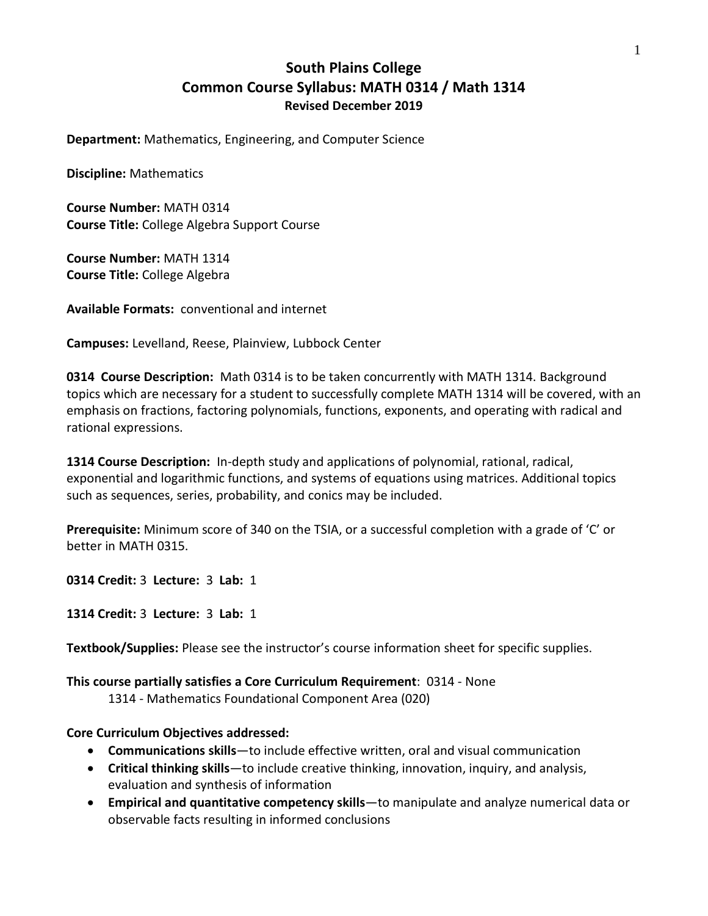# **South Plains College Common Course Syllabus: MATH 0314 / Math 1314 Revised December 2019**

**Department:** Mathematics, Engineering, and Computer Science

**Discipline:** Mathematics

**Course Number:** MATH 0314 **Course Title:** College Algebra Support Course

**Course Number:** MATH 1314 **Course Title:** College Algebra

**Available Formats:** conventional and internet

**Campuses:** Levelland, Reese, Plainview, Lubbock Center

**0314 Course Description:** Math 0314 is to be taken concurrently with MATH 1314. Background topics which are necessary for a student to successfully complete MATH 1314 will be covered, with an emphasis on fractions, factoring polynomials, functions, exponents, and operating with radical and rational expressions.

**1314 Course Description:** In-depth study and applications of polynomial, rational, radical, exponential and logarithmic functions, and systems of equations using matrices. Additional topics such as sequences, series, probability, and conics may be included.

**Prerequisite:** Minimum score of 340 on the TSIA, or a successful completion with a grade of 'C' or better in MATH 0315.

**0314 Credit:** 3 **Lecture:** 3 **Lab:** 1

**1314 Credit:** 3 **Lecture:** 3 **Lab:** 1

**Textbook/Supplies:** Please see the instructor's course information sheet for specific supplies.

**This course partially satisfies a Core Curriculum Requirement**: 0314 - None 1314 - Mathematics Foundational Component Area (020)

### **Core Curriculum Objectives addressed:**

- **Communications skills**—to include effective written, oral and visual communication
- **Critical thinking skills**—to include creative thinking, innovation, inquiry, and analysis, evaluation and synthesis of information
- **Empirical and quantitative competency skills**—to manipulate and analyze numerical data or observable facts resulting in informed conclusions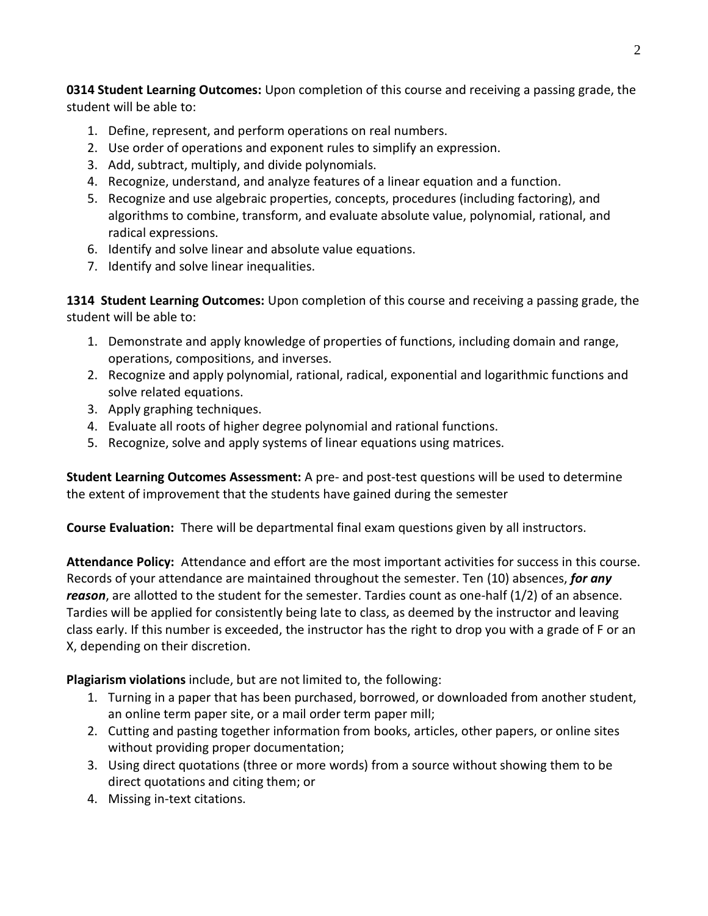**0314 Student Learning Outcomes:** Upon completion of this course and receiving a passing grade, the student will be able to:

- 1. Define, represent, and perform operations on real numbers.
- 2. Use order of operations and exponent rules to simplify an expression.
- 3. Add, subtract, multiply, and divide polynomials.
- 4. Recognize, understand, and analyze features of a linear equation and a function.
- 5. Recognize and use algebraic properties, concepts, procedures (including factoring), and algorithms to combine, transform, and evaluate absolute value, polynomial, rational, and radical expressions.
- 6. Identify and solve linear and absolute value equations.
- 7. Identify and solve linear inequalities.

**1314 Student Learning Outcomes:** Upon completion of this course and receiving a passing grade, the student will be able to:

- 1. Demonstrate and apply knowledge of properties of functions, including domain and range, operations, compositions, and inverses.
- 2. Recognize and apply polynomial, rational, radical, exponential and logarithmic functions and solve related equations.
- 3. Apply graphing techniques.
- 4. Evaluate all roots of higher degree polynomial and rational functions.
- 5. Recognize, solve and apply systems of linear equations using matrices.

**Student Learning Outcomes Assessment:** A pre- and post-test questions will be used to determine the extent of improvement that the students have gained during the semester

**Course Evaluation:** There will be departmental final exam questions given by all instructors.

**Attendance Policy:** Attendance and effort are the most important activities for success in this course. Records of your attendance are maintained throughout the semester. Ten (10) absences, *for any reason*, are allotted to the student for the semester. Tardies count as one-half (1/2) of an absence. Tardies will be applied for consistently being late to class, as deemed by the instructor and leaving class early. If this number is exceeded, the instructor has the right to drop you with a grade of F or an X, depending on their discretion.

**Plagiarism violations** include, but are not limited to, the following:

- 1. Turning in a paper that has been purchased, borrowed, or downloaded from another student, an online term paper site, or a mail order term paper mill;
- 2. Cutting and pasting together information from books, articles, other papers, or online sites without providing proper documentation;
- 3. Using direct quotations (three or more words) from a source without showing them to be direct quotations and citing them; or
- 4. Missing in-text citations.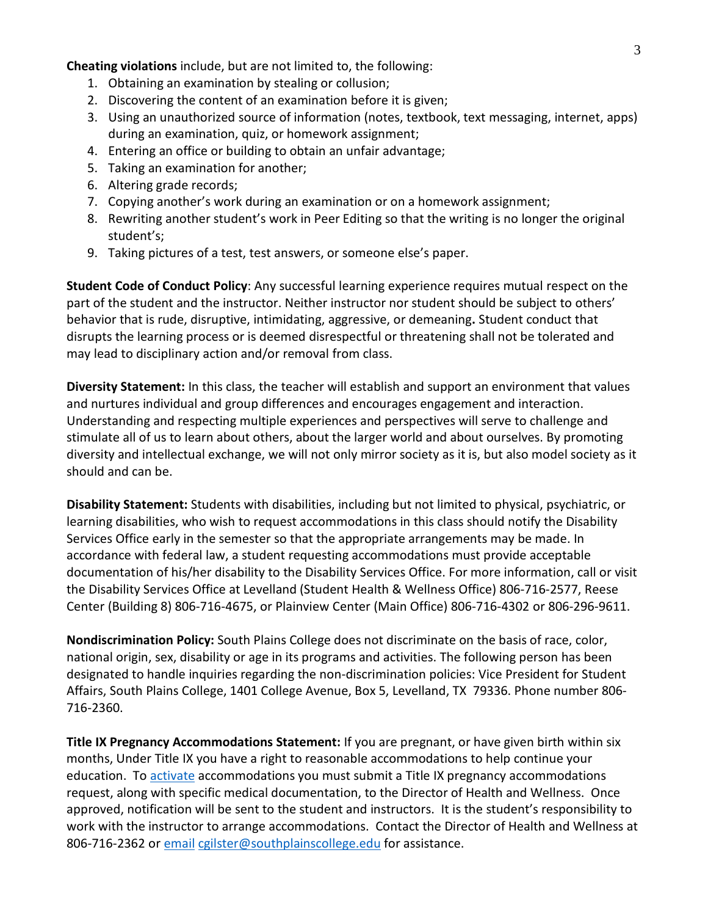**Cheating violations** include, but are not limited to, the following:

- 1. Obtaining an examination by stealing or collusion;
- 2. Discovering the content of an examination before it is given;
- 3. Using an unauthorized source of information (notes, textbook, text messaging, internet, apps) during an examination, quiz, or homework assignment;
- 4. Entering an office or building to obtain an unfair advantage;
- 5. Taking an examination for another;
- 6. Altering grade records;
- 7. Copying another's work during an examination or on a homework assignment;
- 8. Rewriting another student's work in Peer Editing so that the writing is no longer the original student's;
- 9. Taking pictures of a test, test answers, or someone else's paper.

**Student Code of Conduct Policy**: Any successful learning experience requires mutual respect on the part of the student and the instructor. Neither instructor nor student should be subject to others' behavior that is rude, disruptive, intimidating, aggressive, or demeaning**.** Student conduct that disrupts the learning process or is deemed disrespectful or threatening shall not be tolerated and may lead to disciplinary action and/or removal from class.

**Diversity Statement:** In this class, the teacher will establish and support an environment that values and nurtures individual and group differences and encourages engagement and interaction. Understanding and respecting multiple experiences and perspectives will serve to challenge and stimulate all of us to learn about others, about the larger world and about ourselves. By promoting diversity and intellectual exchange, we will not only mirror society as it is, but also model society as it should and can be.

**Disability Statement:** Students with disabilities, including but not limited to physical, psychiatric, or learning disabilities, who wish to request accommodations in this class should notify the Disability Services Office early in the semester so that the appropriate arrangements may be made. In accordance with federal law, a student requesting accommodations must provide acceptable documentation of his/her disability to the Disability Services Office. For more information, call or visit the Disability Services Office at Levelland (Student Health & Wellness Office) 806-716-2577, Reese Center (Building 8) 806-716-4675, or Plainview Center (Main Office) 806-716-4302 or 806-296-9611.

**Nondiscrimination Policy:** South Plains College does not discriminate on the basis of race, color, national origin, sex, disability or age in its programs and activities. The following person has been designated to handle inquiries regarding the non-discrimination policies: Vice President for Student Affairs, South Plains College, 1401 College Avenue, Box 5, Levelland, TX 79336. Phone number 806- 716-2360.

**Title IX Pregnancy Accommodations Statement:** If you are pregnant, or have given birth within six months, Under Title IX you have a right to reasonable accommodations to help continue your education. To [activate](http://www.southplainscollege.edu/employees/manualshandbooks/facultyhandbook/sec4.php) accommodations you must submit a Title IX pregnancy accommodations request, along with specific medical documentation, to the Director of Health and Wellness. Once approved, notification will be sent to the student and instructors. It is the student's responsibility to work with the instructor to arrange accommodations. Contact the Director of Health and Wellness at 806-716-2362 or [email](http://www.southplainscollege.edu/employees/manualshandbooks/facultyhandbook/sec4.php) [cgilster@southplainscollege.edu](mailto:cgilster@southplainscollege.edu) for assistance.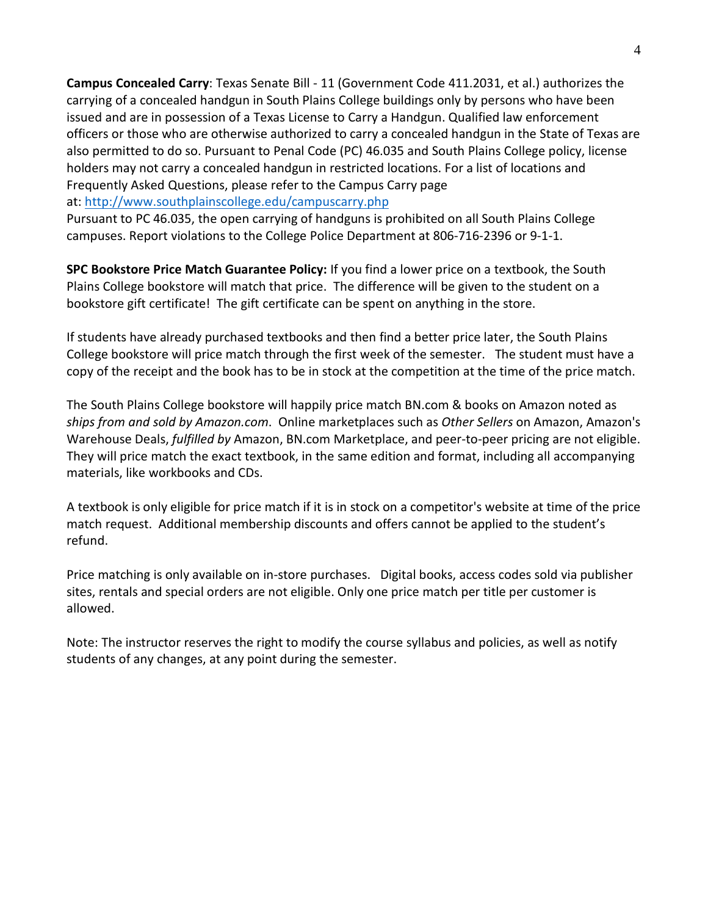**Campus Concealed Carry**: Texas Senate Bill - 11 (Government Code 411.2031, et al.) authorizes the carrying of a concealed handgun in South Plains College buildings only by persons who have been issued and are in possession of a Texas License to Carry a Handgun. Qualified law enforcement officers or those who are otherwise authorized to carry a concealed handgun in the State of Texas are also permitted to do so. Pursuant to Penal Code (PC) 46.035 and South Plains College policy, license holders may not carry a concealed handgun in restricted locations. For a list of locations and Frequently Asked Questions, please refer to the Campus Carry page

at: <http://www.southplainscollege.edu/campuscarry.php>

Pursuant to PC 46.035, the open carrying of handguns is prohibited on all South Plains College campuses. Report violations to the College Police Department at 806-716-2396 or 9-1-1.

**SPC Bookstore Price Match Guarantee Policy:** If you find a lower price on a textbook, the South Plains College bookstore will match that price. The difference will be given to the student on a bookstore gift certificate! The gift certificate can be spent on anything in the store.

If students have already purchased textbooks and then find a better price later, the South Plains College bookstore will price match through the first week of the semester. The student must have a copy of the receipt and the book has to be in stock at the competition at the time of the price match.

The South Plains College bookstore will happily price match BN.com & books on Amazon noted as *ships from and sold by Amazon.com*. Online marketplaces such as *Other Sellers* on Amazon, Amazon's Warehouse Deals, *fulfilled by* Amazon, BN.com Marketplace, and peer-to-peer pricing are not eligible. They will price match the exact textbook, in the same edition and format, including all accompanying materials, like workbooks and CDs.

A textbook is only eligible for price match if it is in stock on a competitor's website at time of the price match request. Additional membership discounts and offers cannot be applied to the student's refund.

Price matching is only available on in-store purchases. Digital books, access codes sold via publisher sites, rentals and special orders are not eligible. Only one price match per title per customer is allowed.

Note: The instructor reserves the right to modify the course syllabus and policies, as well as notify students of any changes, at any point during the semester.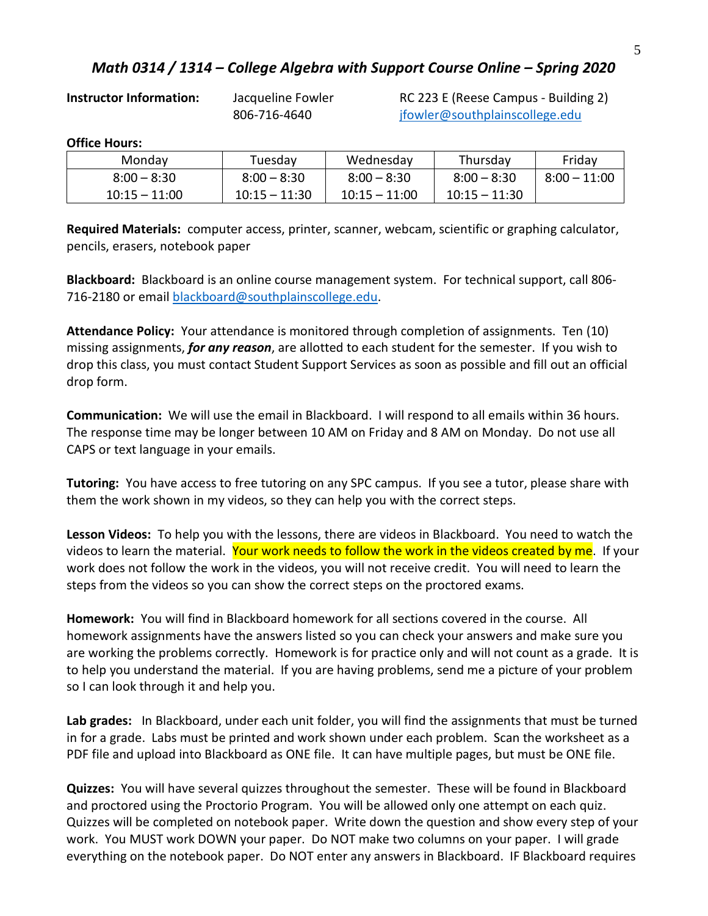## *Math 0314 / 1314 – College Algebra with Support Course Online – Spring 2020*

**Instructor Information:** Jacqueline Fowler RC 223 E (Reese Campus - Building 2) 806-716-4640 [jfowler@southplainscollege.edu](mailto:jfowler@southplainscollege.edu)

### **Office Hours:**

| Mondav          | Tuesdav         | Wednesday       | Thursdav        | Friday         |
|-----------------|-----------------|-----------------|-----------------|----------------|
| $8:00 - 8:30$   | $8:00 - 8:30$   | $8:00 - 8:30$   | $8:00 - 8:30$   | $8:00 - 11:00$ |
| $10:15 - 11:00$ | $10:15 - 11:30$ | $10:15 - 11:00$ | $10:15 - 11:30$ |                |

**Required Materials:** computer access, printer, scanner, webcam, scientific or graphing calculator, pencils, erasers, notebook paper

**Blackboard:** Blackboard is an online course management system. For technical support, call 806- 716-2180 or email [blackboard@southplainscollege.edu.](mailto:blackboard@southplainscollege.edu)

**Attendance Policy:** Your attendance is monitored through completion of assignments. Ten (10) missing assignments, *for any reason*, are allotted to each student for the semester. If you wish to drop this class, you must contact Student Support Services as soon as possible and fill out an official drop form.

**Communication:** We will use the email in Blackboard. I will respond to all emails within 36 hours. The response time may be longer between 10 AM on Friday and 8 AM on Monday. Do not use all CAPS or text language in your emails.

**Tutoring:** You have access to free tutoring on any SPC campus. If you see a tutor, please share with them the work shown in my videos, so they can help you with the correct steps.

**Lesson Videos:** To help you with the lessons, there are videos in Blackboard. You need to watch the videos to learn the material. Your work needs to follow the work in the videos created by me. If your work does not follow the work in the videos, you will not receive credit. You will need to learn the steps from the videos so you can show the correct steps on the proctored exams.

**Homework:** You will find in Blackboard homework for all sections covered in the course. All homework assignments have the answers listed so you can check your answers and make sure you are working the problems correctly. Homework is for practice only and will not count as a grade. It is to help you understand the material. If you are having problems, send me a picture of your problem so I can look through it and help you.

**Lab grades:** In Blackboard, under each unit folder, you will find the assignments that must be turned in for a grade. Labs must be printed and work shown under each problem. Scan the worksheet as a PDF file and upload into Blackboard as ONE file. It can have multiple pages, but must be ONE file.

**Quizzes:** You will have several quizzes throughout the semester. These will be found in Blackboard and proctored using the Proctorio Program. You will be allowed only one attempt on each quiz. Quizzes will be completed on notebook paper. Write down the question and show every step of your work. You MUST work DOWN your paper. Do NOT make two columns on your paper. I will grade everything on the notebook paper. Do NOT enter any answers in Blackboard. IF Blackboard requires